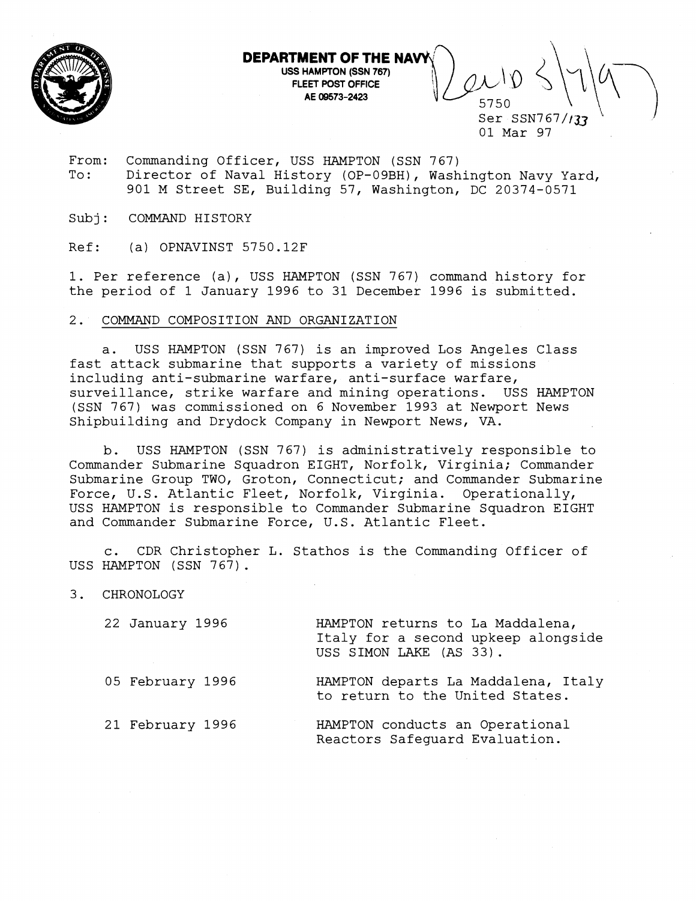

**DEPARTMENT OF THE NAV USS HAMPTON (SSN 767) FLEET POST OFFICE AE M73-2423** \&,A/\ <sup>5750</sup>9

 $Ser$  SSN767/133 01 Mar 97

From: Commanding Officer, USS HAMPTON (SSN 767) To: Director of Naval History (OP-09BH), Washington Navy Yard, 901 M Street SE, Building 57, Washington, DC 20374-0571

Subj: COMMAND HISTORY

Ref: (a) OPNAVINST 5750.12F

1. Per reference (a), USS HAMPTON (SSN 767) command history for the period of 1 January 1996 to 31 December 1996 is submitted.

## 2. COMMAND COMPOSITION AND ORGANIZATION

a. USS HAMPTON (SSN 767) is an improved Los Angeles Class fast attack submarine that supports a variety of missions including anti-submarine warfare, anti-surface warfare, surveillance, strike warfare and mining operations. USS HAMPTON (SSN 767) was commissioned on 6 November 1993 at Newport News Shipbuilding and Drydock Company in Newport News, VA.

b. USS HAMPTON (SSN 767) is administratively responsible to Commander Submarine Squadron EIGHT, Norfolk, Virginia; Commander Submarine Group TWO, Groton, Connecticut; and Commander Submarine Force, U.S. Atlantic Fleet, Norfolk, Virginia. Operationally, USS HAMPTON is responsible to Commander Submarine Squadron EIGHT and Commander Submarine Force, U.S. Atlantic Fleet.

c. CDR Christopher L. Stathos is the Commanding Officer of USS HAMPTON (SSN 767).

3. CHRONOLOGY

22 January 1996

HAMPTON returns to La Maddalena, Italy for a second upkeep alongside USS SIMON LAKE (AS 33).

05 February 1996 HAMPTON departs La Maddalena, Italy to return to the United States.

21 February 1996 HAMPTON conducts an Operational Reactors Safeguard Evaluation.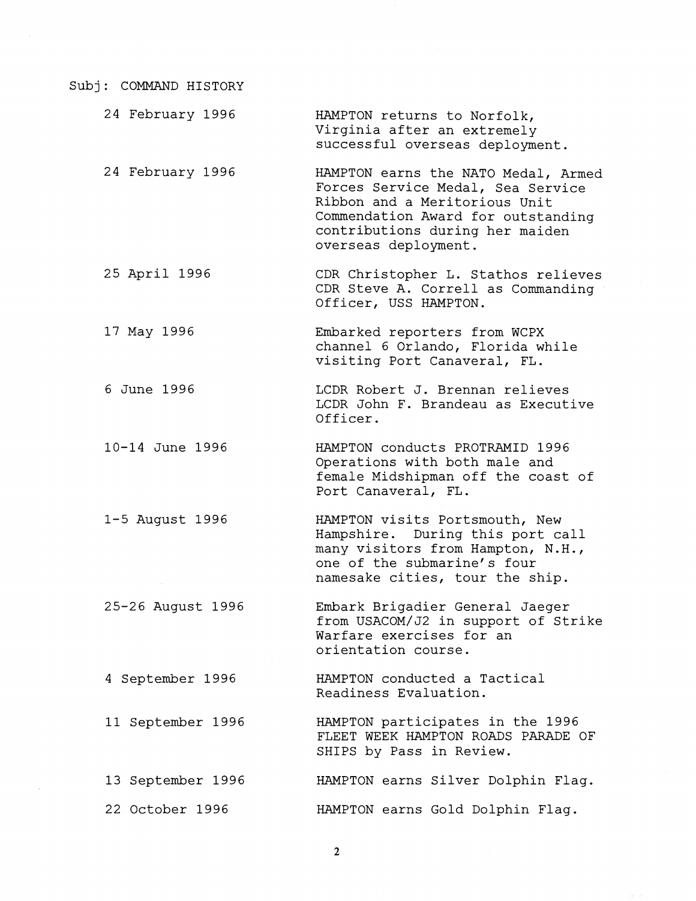Subj: COMMAND HISTORY

24 February 1996 HAMPTON returns to Norfolk, Virginia after an extremely successful overseas deployment.

24 February 1996 HAMPTON earns the NATO Medal, Armed Forces Service Medal, Sea Service Ribbon and a Meritorious Unit Commendation Award for outstanding contributions during her maiden overseas deployment.

- 25 April 1996 CDR Christopher L. Stathos relieves CDR Steve A. Correll as Commanding Officer, USS HAMPTON.
- 17 May 1996 Embarked reporters from WCPX channel 6 Orlando, Florida while visiting Port Canaveral, FL.
- 6 June 1996 LCDR Robert J. Brennan relieves LCDR John F. Brandeau as Executive Officer.

10-14 June 1996 HAMPTON conducts PROTRAMID 1996 Operations with both male and female Midshipman off the coast of Port Canaveral, FL.

1-5 August 1996 HAMPTON visits Portsmouth, New Hampshire. During this port call many visitors from Hampton, N.H., one of the submarine's four namesake cities, tour the ship.

25-26 August 1996 Embark Brigadier General Jaeger from USACOM/J2 in support of Strike Warfare exercises for an orientation course.

4 September 1996 HAMPTON conducted a Tactical Readiness Evaluation.

11 September 1996 HAMPTON participates in the 1996 FLEET WEEK HAMPTON ROADS PARADE OF SHIPS by Pass in Review.

13 September 1996 HAMPTON earns Silver Dolphin Flag.

22 October 1996 HAMPTON earns Gold Dolphin Flag.